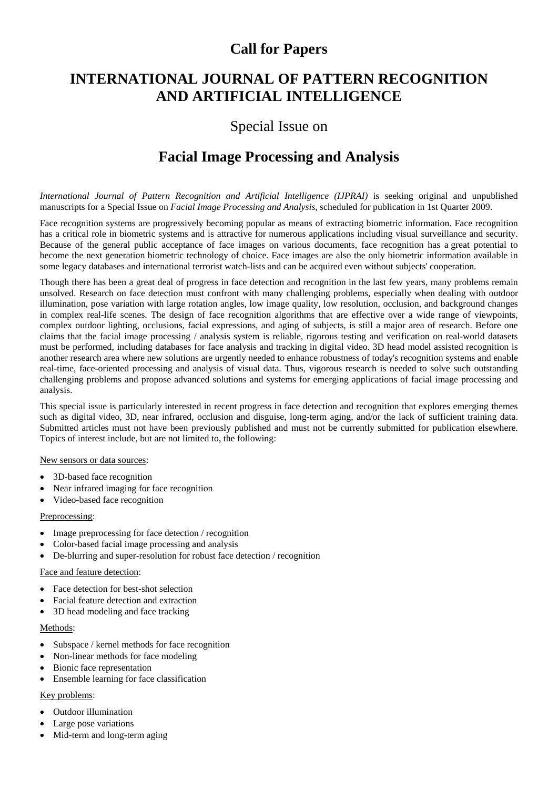## **Call for Papers**

## **INTERNATIONAL JOURNAL OF PATTERN RECOGNITION AND ARTIFICIAL INTELLIGENCE**

## Special Issue on

# **Facial Image Processing and Analysis**

*International Journal of Pattern Recognition and Artificial Intelligence (IJPRAI)* is seeking original and unpublished manuscripts for a Special Issue on *Facial Image Processing and Analysis*, scheduled for publication in 1st Quarter 2009.

Face recognition systems are progressively becoming popular as means of extracting biometric information. Face recognition has a critical role in biometric systems and is attractive for numerous applications including visual surveillance and security. Because of the general public acceptance of face images on various documents, face recognition has a great potential to become the next generation biometric technology of choice. Face images are also the only biometric information available in some legacy databases and international terrorist watch-lists and can be acquired even without subjects' cooperation.

Though there has been a great deal of progress in face detection and recognition in the last few years, many problems remain unsolved. Research on face detection must confront with many challenging problems, especially when dealing with outdoor illumination, pose variation with large rotation angles, low image quality, low resolution, occlusion, and background changes in complex real-life scenes. The design of face recognition algorithms that are effective over a wide range of viewpoints, complex outdoor lighting, occlusions, facial expressions, and aging of subjects, is still a major area of research. Before one claims that the facial image processing / analysis system is reliable, rigorous testing and verification on real-world datasets must be performed, including databases for face analysis and tracking in digital video. 3D head model assisted recognition is another research area where new solutions are urgently needed to enhance robustness of today's recognition systems and enable real-time, face-oriented processing and analysis of visual data. Thus, vigorous research is needed to solve such outstanding challenging problems and propose advanced solutions and systems for emerging applications of facial image processing and analysis.

This special issue is particularly interested in recent progress in face detection and recognition that explores emerging themes such as digital video, 3D, near infrared, occlusion and disguise, long-term aging, and/or the lack of sufficient training data. Submitted articles must not have been previously published and must not be currently submitted for publication elsewhere. Topics of interest include, but are not limited to, the following:

### New sensors or data sources:

- 3D-based face recognition
- Near infrared imaging for face recognition
- Video-based face recognition

### Preprocessing:

- Image preprocessing for face detection / recognition
- Color-based facial image processing and analysis
- De-blurring and super-resolution for robust face detection / recognition

### Face and feature detection:

- Face detection for best-shot selection
- Facial feature detection and extraction
- 3D head modeling and face tracking

### Methods:

- Subspace / kernel methods for face recognition
- Non-linear methods for face modeling
- Bionic face representation
- Ensemble learning for face classification

### Key problems:

- Outdoor illumination
- Large pose variations
- Mid-term and long-term aging